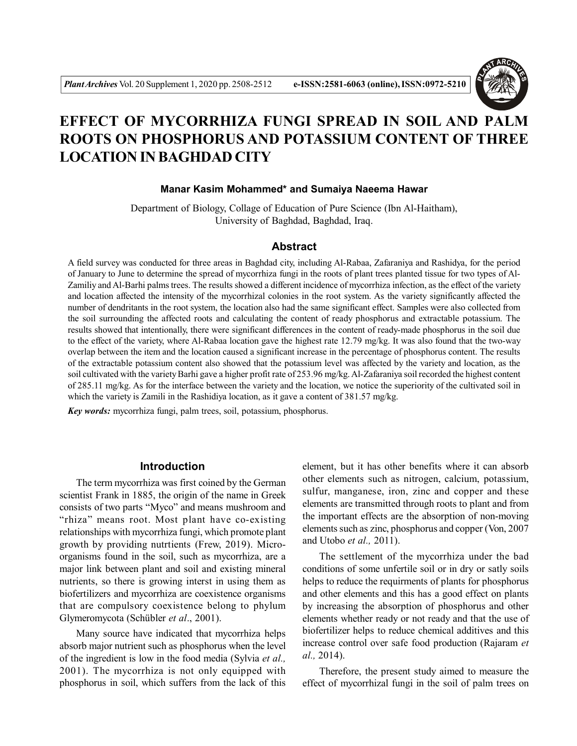

# **EFFECT OF MYCORRHIZA FUNGI SPREAD IN SOIL AND PALM ROOTS ON PHOSPHORUS AND POTASSIUM CONTENT OF THREE LOCATION IN BAGHDAD CITY**

#### **Manar Kasim Mohammed\* and Sumaiya Naeema Hawar**

Department of Biology, Collage of Education of Pure Science (Ibn Al-Haitham), University of Baghdad, Baghdad, Iraq.

#### **Abstract**

A field survey was conducted for three areas in Baghdad city, including Al-Rabaa, Zafaraniya and Rashidya, for the period of January to June to determine the spread of mycorrhiza fungi in the roots of plant trees planted tissue for two types of Al-Zamiliy and Al-Barhi palms trees. The results showed a different incidence of mycorrhiza infection, as the effect of the variety and location affected the intensity of the mycorrhizal colonies in the root system. As the variety significantly affected the number of dendritants in the root system, the location also had the same significant effect. Samples were also collected from the soil surrounding the affected roots and calculating the content of ready phosphorus and extractable potassium. The results showed that intentionally, there were significant differences in the content of ready-made phosphorus in the soil due to the effect of the variety, where Al-Rabaa location gave the highest rate 12.79 mg/kg. It was also found that the two-way overlap between the item and the location caused a significant increase in the percentage of phosphorus content. The results of the extractable potassium content also showed that the potassium level was affected by the variety and location, as the soil cultivated with the variety Barhi gave a higher profit rate of 253.96 mg/kg. Al-Zafaraniya soil recorded the highest content of 285.11 mg/kg. As for the interface between the variety and the location, we notice the superiority of the cultivated soil in which the variety is Zamili in the Rashidiya location, as it gave a content of 381.57 mg/kg.

*Key words:* mycorrhiza fungi, palm trees, soil, potassium, phosphorus.

#### **Introduction**

The term mycorrhiza was first coined by the German scientist Frank in 1885, the origin of the name in Greek consists of two parts "Myco" and means mushroom and "rhiza" means root. Most plant have co-existing relationships with mycorrhiza fungi, which promote plant growth by providing nutrtients (Frew, 2019). Microorganisms found in the soil, such as mycorrhiza, are a major link between plant and soil and existing mineral nutrients, so there is growing interst in using them as biofertilizers and mycorrhiza are coexistence organisms that are compulsory coexistence belong to phylum Glymeromycota (Schübler *et al*., 2001).

Many source have indicated that mycorrhiza helps absorb major nutrient such as phosphorus when the level of the ingredient is low in the food media (Sylvia *et al.,* 2001). The mycorrhiza is not only equipped with phosphorus in soil, which suffers from the lack of this

element, but it has other benefits where it can absorb other elements such as nitrogen, calcium, potassium, sulfur, manganese, iron, zinc and copper and these elements are transmitted through roots to plant and from the important effects are the absorption of non-moving elements such as zinc, phosphorus and copper (Von, 2007 and Utobo *et al.,* 2011).

The settlement of the mycorrhiza under the bad conditions of some unfertile soil or in dry or satly soils helps to reduce the requirments of plants for phosphorus and other elements and this has a good effect on plants by increasing the absorption of phosphorus and other elements whether ready or not ready and that the use of biofertilizer helps to reduce chemical additives and this increase control over safe food production (Rajaram *et al.,* 2014).

Therefore, the present study aimed to measure the effect of mycorrhizal fungi in the soil of palm trees on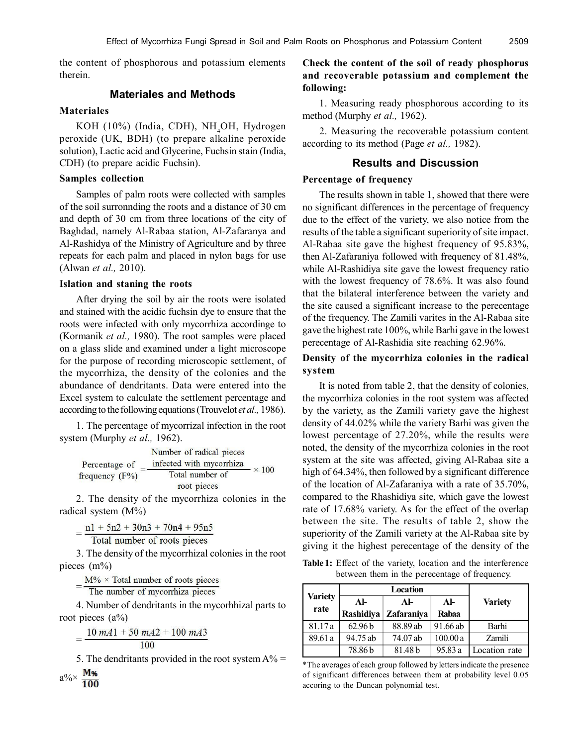the content of phosphorous and potassium elements therein.

# **Materiales and Methods**

### **Materiales**

KOH (10%) (India, CDH), NH<sub>4</sub>OH, Hydrogen peroxide (UK, BDH) (to prepare alkaline peroxide solution), Lactic acid and Glycerine, Fuchsin stain (India, CDH) (to prepare acidic Fuchsin).

#### **Samples collection**

Samples of palm roots were collected with samples of the soil surronnding the roots and a distance of 30 cm and depth of 30 cm from three locations of the city of Baghdad, namely Al-Rabaa station, Al-Zafaranya and Al-Rashidya of the Ministry of Agriculture and by three repeats for each palm and placed in nylon bags for use (Alwan *et al.,* 2010).

#### **Islation and staning the roots**

After drying the soil by air the roots were isolated and stained with the acidic fuchsin dye to ensure that the roots were infected with only mycorrhiza accordinge to (Kormanik *et al.,* 1980). The root samples were placed on a glass slide and examined under a light microscope for the purpose of recording microscopic settlement, of the mycorrhiza, the density of the colonies and the abundance of dendritants. Data were entered into the Excel system to calculate the settlement percentage and according to the following equations (Trouvelot *et al.,* 1986).

1. The percentage of mycorrizal infection in the root system (Murphy *et al.,* 1962).

|                  | Number of radical pieces |              |
|------------------|--------------------------|--------------|
| Percentage of    | infected with mycorrhiza |              |
| frequency $(F%)$ | Total number of          | $\times 100$ |
|                  | root pieces              |              |

2. The density of the mycorrhiza colonies in the radical system (M%)

 $=\frac{n l + 5n2 + 30n3 + 70n4 + 95n5}{\text{Total number of roots pieces}}$ 

3. The density of the mycorrhizal colonies in the root pieces (m%)

 $M\%$  × Total number of roots pieces

 $=\frac{N_{1/9} + 10m}{\text{The number of mycorrhiza pieces}}$ 

4. Number of dendritants in the mycorhhizal parts to root pieces  $(a\%)$ 

$$
=\frac{10 \; m A1 + 50 \; m A2 + 100 \; m A3}{100}
$$

5. The dendritants provided in the root system  $A\% =$ 

$$
a\% \times \frac{M\%}{100}
$$

## **Check the content of the soil of ready phosphorus and recoverable potassium and complement the following:**

1. Measuring ready phosphorous according to its method (Murphy *et al.,* 1962).

2. Measuring the recoverable potassium content according to its method (Page *et al.,* 1982).

## **Results and Discussion**

## **Percentage of frequency**

The results shown in table 1, showed that there were no significant differences in the percentage of frequency due to the effect of the variety, we also notice from the results of the table a significant superiority of site impact. Al-Rabaa site gave the highest frequency of 95.83%, then Al-Zafaraniya followed with frequency of 81.48%, while Al-Rashidiya site gave the lowest frequency ratio with the lowest frequency of 78.6%. It was also found that the bilateral interference between the variety and the site caused a significant increase to the perecentage of the frequency. The Zamili varites in the Al-Rabaa site gave the highest rate 100%, while Barhi gave in the lowest perecentage of Al-Rashidia site reaching 62.96%.

## **Density of the mycorrhiza colonies in the radical system**

It is noted from table 2, that the density of colonies, the mycorrhiza colonies in the root system was affected by the variety, as the Zamili variety gave the highest density of 44.02% while the variety Barhi was given the lowest percentage of 27.20%, while the results were noted, the density of the mycorrhiza colonies in the root system at the site was affected, giving Al-Rabaa site a high of 64.34%, then followed by a significant difference of the location of Al-Zafaraniya with a rate of 35.70%, compared to the Rhashidiya site, which gave the lowest rate of 17.68% variety. As for the effect of the overlap between the site. The results of table 2, show the superiority of the Zamili variety at the Al-Rabaa site by giving it the highest perecentage of the density of the

**Table 1:** Effect of the variety, location and the interference between them in the perecentage of frequency.

|                        | Location           |            |          |                |
|------------------------|--------------------|------------|----------|----------------|
| <b>Variety</b><br>rate | $AI-$              | $AI-$      | $Al-$    | <b>Variety</b> |
|                        | Rashidiya          | Zafaraniya | Rabaa    |                |
| 81.17 a                | 62.96 <sub>b</sub> | 88.89 ab   | 91.66 ab | Barhi          |
| 89.61 a                | 94.75 ab           | 74.07 ab   | 100.00a  | <b>Zamili</b>  |
|                        | 78.86b             | 81.48b     | 95.83 a  | Location rate  |

<sup>\*</sup>The averages of each group followed by letters indicate the presence of significant differences between them at probability level 0.05 accoring to the Duncan polynomial test.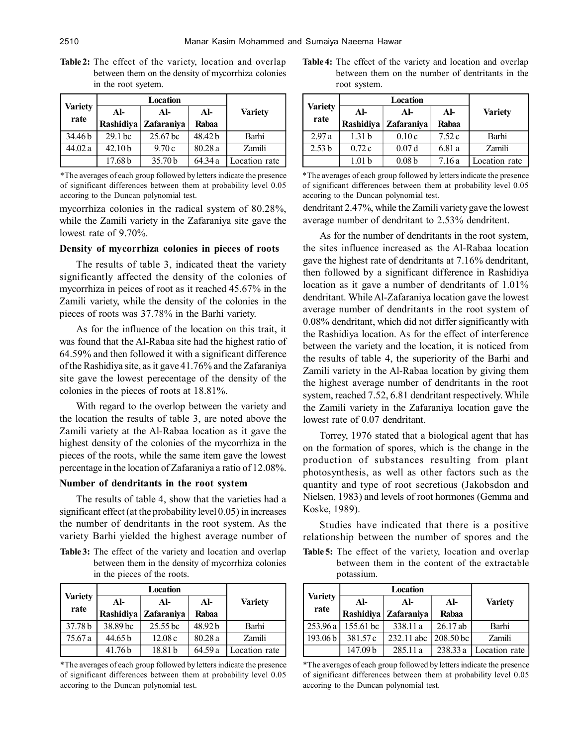**Table 2:** The effect of the variety, location and overlap between them on the density of mycorrhiza colonies in the root syetem.

| Location               |                    |                     |              |                |
|------------------------|--------------------|---------------------|--------------|----------------|
| <b>Variety</b><br>rate | $AI-$              | $AI-$               | $\mathbf{A}$ | <b>Variety</b> |
|                        | Rashidiya          | <b>Zafaraniya</b>   | Rabaa        |                |
| 34.46 b                | 29.1 <sub>bc</sub> | 25.67 <sub>bc</sub> | 48.42 b      | Barhi          |
| 44.02 a                | 42.10 <sub>b</sub> | 9.70c               | 80.28a       | <b>Zamili</b>  |
|                        | 17.68 <sub>b</sub> | 35.70 b             | 64.34 a      | Location rate  |

\*The averages of each group followed by letters indicate the presence of significant differences between them at probability level 0.05 accoring to the Duncan polynomial test.

mycorrhiza colonies in the radical system of 80.28%, while the Zamili variety in the Zafaraniya site gave the lowest rate of 9.70%.

#### **Density of mycorrhiza colonies in pieces of roots**

The results of table 3, indicated theat the variety significantly affected the density of the colonies of mycorrhiza in peices of root as it reached 45.67% in the Zamili variety, while the density of the colonies in the pieces of roots was 37.78% in the Barhi variety.

As for the influence of the location on this trait, it was found that the Al-Rabaa site had the highest ratio of 64.59% and then followed it with a significant difference of the Rashidiya site, as it gave 41.76% and the Zafaraniya site gave the lowest perecentage of the density of the colonies in the pieces of roots at 18.81%.

With regard to the overlop between the variety and the location the results of table 3, are noted above the Zamili variety at the Al-Rabaa location as it gave the highest density of the colonies of the mycorrhiza in the pieces of the roots, while the same item gave the lowest percentage in the location of Zafaraniya a ratio of 12.08%.

#### **Number of dendritants in the root system**

The results of table 4, show that the varieties had a significant effect (at the probability level 0.05) in increases the number of dendritants in the root system. As the variety Barhi yielded the highest average number of

**Table 3:** The effect of the variety and location and overlap between them in the density of mycorrhiza colonies in the pieces of the roots.

|                | Location  |                     |              |                |
|----------------|-----------|---------------------|--------------|----------------|
| <b>Variety</b> | $AI-$     | AI-                 | $\mathbf{A}$ | <b>Variety</b> |
| rate           | Rashidiya | Zafaraniya          | <b>Rabaa</b> |                |
| 37.78 b        | 38.89 bc  | 25.55 <sub>bc</sub> | 48.92b       | Barhi          |
| 75.67 a        | 44.65 b   | 12.08c              | 80.28a       | <b>Zamili</b>  |
|                | 41.76b    | 18.81 b             | 64.59a       | Location rate  |

\*The averages of each group followed by letters indicate the presence of significant differences between them at probability level 0.05 accoring to the Duncan polynomial test.

**Table 4:** The effect of the variety and location and overlap between them on the number of dentritants in the root system.

|                   | Location          |                   |        |                |
|-------------------|-------------------|-------------------|--------|----------------|
| <b>Variety</b>    | AL                | AL                | $AI-$  | <b>Variety</b> |
| rate              | Rashidiya         | Zafaraniya        | Rabaa  |                |
| 2.97a             | 1.31 <sub>b</sub> | 0.10c             | 7.52c  | Barhi          |
| 2.53 <sub>b</sub> | 0.72c             | 0.07d             | 6.81 a | <b>Zamili</b>  |
|                   | .01 $b$           | 0.08 <sub>b</sub> | 7.16a  | Location rate  |

\*The averages of each group followed by letters indicate the presence of significant differences between them at probability level 0.05 accoring to the Duncan polynomial test.

dendritant 2.47%, while the Zamili variety gave the lowest average number of dendritant to 2.53% dendritent.

As for the number of dendritants in the root system, the sites influence increased as the Al-Rabaa location gave the highest rate of dendritants at 7.16% dendritant, then followed by a significant difference in Rashidiya location as it gave a number of dendritants of  $1.01\%$ dendritant. While Al-Zafaraniya location gave the lowest average number of dendritants in the root system of 0.08% dendritant, which did not differ significantly with the Rashidiya location. As for the effect of interference between the variety and the location, it is noticed from the results of table 4, the superiority of the Barhi and Zamili variety in the Al-Rabaa location by giving them the highest average number of dendritants in the root system, reached 7.52, 6.81 dendritant respectively. While the Zamili variety in the Zafaraniya location gave the lowest rate of 0.07 dendritant.

Torrey, 1976 stated that a biological agent that has on the formation of spores, which is the change in the production of substances resulting from plant photosynthesis, as well as other factors such as the quantity and type of root secretious (Jakobsdon and Nielsen, 1983) and levels of root hormones (Gemma and Koske, 1989).

Studies have indicated that there is a positive relationship between the number of spores and the

**Table 5:** The effect of the variety, location and overlap between them in the content of the extractable potassium.

| Location       |           |                      |           |                |
|----------------|-----------|----------------------|-----------|----------------|
| <b>Variety</b> | AI-       | $AI-$                | $AI-$     | <b>Variety</b> |
| rate           |           | Rashidiya Zafaraniya | Rabaa     |                |
| 253.96a        | 155.61 bc | 338.11 a             | 26.17ab   | Barhi          |
| 193.06b        | 381.57 c  | $232.11$ abc         | 208.50 bc | <b>Zamili</b>  |
|                | 147.09 b  | 285.11 a             | 238.33 a  | Location rate  |

\*The averages of each group followed by letters indicate the presence of significant differences between them at probability level 0.05 accoring to the Duncan polynomial test.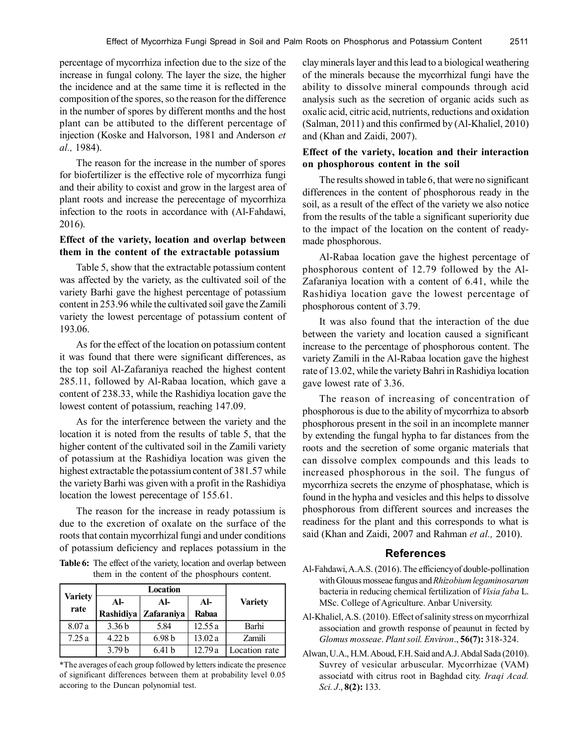percentage of mycorrhiza infection due to the size of the increase in fungal colony. The layer the size, the higher the incidence and at the same time it is reflected in the composition of the spores, so the reason for the difference in the number of spores by different months and the host plant can be attibuted to the different percentage of injection (Koske and Halvorson, 1981 and Anderson *et al.,* 1984).

The reason for the increase in the number of spores for biofertilizer is the effective role of mycorrhiza fungi and their ability to coxist and grow in the largest area of plant roots and increase the perecentage of mycorrhiza infection to the roots in accordance with (Al-Fahdawi, 2016).

## **Effect of the variety, location and overlap between them in the content of the extractable potassium**

Table 5, show that the extractable potassium content was affected by the variety, as the cultivated soil of the variety Barhi gave the highest percentage of potassium content in 253.96 while the cultivated soil gave the Zamili variety the lowest percentage of potassium content of 193.06.

As for the effect of the location on potassium content it was found that there were significant differences, as the top soil Al-Zafaraniya reached the highest content 285.11, followed by Al-Rabaa location, which gave a content of 238.33, while the Rashidiya location gave the lowest content of potassium, reaching 147.09.

As for the interference between the variety and the location it is noted from the results of table 5, that the higher content of the cultivated soil in the Zamili variety of potassium at the Rashidiya location was given the highest extractable the potassium content of 381.57 while the variety Barhi was given with a profit in the Rashidiya location the lowest perecentage of 155.61.

The reason for the increase in ready potassium is due to the excretion of oxalate on the surface of the roots that contain mycorrhizal fungi and under conditions of potassium deficiency and replaces potassium in the

**Table 6:** The effect of the variety, location and overlap between them in the content of the phosphours content.

|                        | Location          |                   |         |                |
|------------------------|-------------------|-------------------|---------|----------------|
| <b>Variety</b><br>rate | AL                | Al-               | $AI-$   | <b>Variety</b> |
|                        | Rashidiya         | Zafaraniya        | Rabaa   |                |
| 8.07a                  | 3.36 <sub>b</sub> | 5.84              | 12.55a  | Barhi          |
| 7.25a                  | 4.22 <sub>b</sub> | 6.98 <sub>b</sub> | 13.02 a | Zamili         |
|                        | 3.79 <sub>b</sub> | 6.41 <sub>b</sub> | 12.79a  | Location rate  |

\*The averages of each group followed by letters indicate the presence of significant differences between them at probability level 0.05 accoring to the Duncan polynomial test.

clay minerals layer and this lead to a biological weathering of the minerals because the mycorrhizal fungi have the ability to dissolve mineral compounds through acid analysis such as the secretion of organic acids such as oxalic acid, citric acid, nutrients, reductions and oxidation (Salman, 2011) and this confirmed by (Al-Khaliel, 2010) and (Khan and Zaidi, 2007).

#### **Effect of the variety, location and their interaction on phosphorous content in the soil**

The results showed in table 6, that were no significant differences in the content of phosphorous ready in the soil, as a result of the effect of the variety we also notice from the results of the table a significant superiority due to the impact of the location on the content of readymade phosphorous.

Al-Rabaa location gave the highest percentage of phosphorous content of 12.79 followed by the Al-Zafaraniya location with a content of 6.41, while the Rashidiya location gave the lowest percentage of phosphorous content of 3.79.

It was also found that the interaction of the due between the variety and location caused a significant increase to the percentage of phosphorous content. The variety Zamili in the Al-Rabaa location gave the highest rate of 13.02, while the variety Bahri in Rashidiya location gave lowest rate of 3.36.

The reason of increasing of concentration of phosphorous is due to the ability of mycorrhiza to absorb phosphorous present in the soil in an incomplete manner by extending the fungal hypha to far distances from the roots and the secretion of some organic materials that can dissolve complex compounds and this leads to increased phosphorous in the soil. The fungus of mycorrhiza secrets the enzyme of phosphatase, which is found in the hypha and vesicles and this helps to dissolve phosphorous from different sources and increases the readiness for the plant and this corresponds to what is said (Khan and Zaidi, 2007 and Rahman *et al.,* 2010).

#### **References**

- Al-Fahdawi, A.A.S. (2016). The efficiency of double-pollination with Glouus mosseae fungus and *Rhizobium legaminosarum* bacteria in reducing chemical fertilization of *Visia faba* L. MSc. College of Agriculture. Anbar University.
- Al-Khaliel, A.S. (2010). Effect of salinity stress on mycorrhizal association and growth response of peaunut in fected by *Glomus mosseae*. *Plant soil. Environ*., **56(7):** 318-324.
- Alwan, U.A., H.M. Aboud, F.H. Said and A.J. Abdal Sada (2010). Suvrey of vesicular arbuscular. Mycorrhizae (VAM) associatd with citrus root in Baghdad city. *Iraqi Acad. Sci. J*., **8(2):** 133.